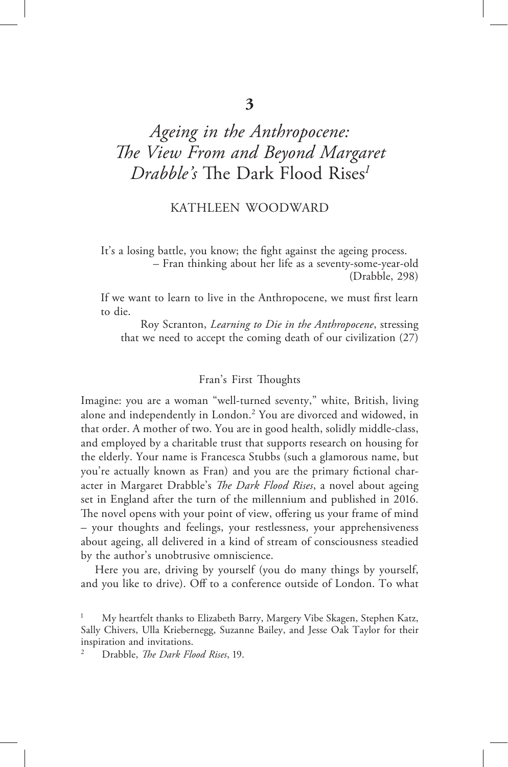# **3**

# *Ageing in the Anthropocene: The View From and Beyond Margaret Drabble's* The Dark Flood Rises*<sup>1</sup>*

# KATHLEEN WOODWARD

It's a losing battle, you know; the fight against the ageing process. – Fran thinking about her life as a seventy-some-year-old (Drabble, 298)

If we want to learn to live in the Anthropocene, we must first learn to die.

Roy Scranton, *Learning to Die in the Anthropocene*, stressing that we need to accept the coming death of our civilization (27)

# Fran's First Thoughts

Imagine: you are a woman "well-turned seventy," white, British, living alone and independently in London.2 You are divorced and widowed, in that order. A mother of two. You are in good health, solidly middle-class, and employed by a charitable trust that supports research on housing for the elderly. Your name is Francesca Stubbs (such a glamorous name, but you're actually known as Fran) and you are the primary fictional character in Margaret Drabble's *The Dark Flood Rises*, a novel about ageing set in England after the turn of the millennium and published in 2016. The novel opens with your point of view, offering us your frame of mind – your thoughts and feelings, your restlessness, your apprehensiveness about ageing, all delivered in a kind of stream of consciousness steadied by the author's unobtrusive omniscience.

Here you are, driving by yourself (you do many things by yourself, and you like to drive). Off to a conference outside of London. To what

<sup>1</sup> My heartfelt thanks to Elizabeth Barry, Margery Vibe Skagen, Stephen Katz, Sally Chivers, Ulla Kriebernegg, Suzanne Bailey, and Jesse Oak Taylor for their inspiration and invitations.

<sup>2</sup> Drabble, *The Dark Flood Rises*, 19.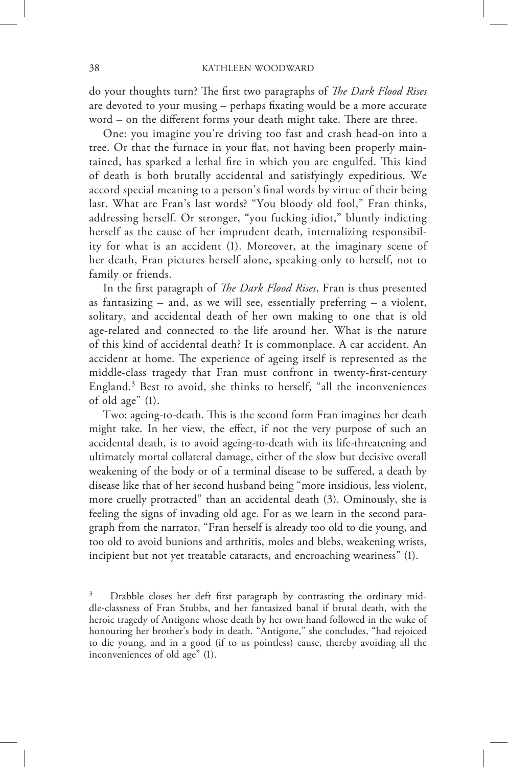do your thoughts turn? The first two paragraphs of *The Dark Flood Rises* are devoted to your musing – perhaps fixating would be a more accurate word – on the different forms your death might take. There are three.

One: you imagine you're driving too fast and crash head-on into a tree. Or that the furnace in your flat, not having been properly maintained, has sparked a lethal fire in which you are engulfed. This kind of death is both brutally accidental and satisfyingly expeditious. We accord special meaning to a person's final words by virtue of their being last. What are Fran's last words? "You bloody old fool," Fran thinks, addressing herself. Or stronger, "you fucking idiot," bluntly indicting herself as the cause of her imprudent death, internalizing responsibility for what is an accident (1). Moreover, at the imaginary scene of her death, Fran pictures herself alone, speaking only to herself, not to family or friends.

In the first paragraph of *The Dark Flood Rises*, Fran is thus presented as fantasizing – and, as we will see, essentially preferring – a violent, solitary, and accidental death of her own making to one that is old age-related and connected to the life around her. What is the nature of this kind of accidental death? It is commonplace. A car accident. An accident at home. The experience of ageing itself is represented as the middle-class tragedy that Fran must confront in twenty-first-century England.3 Best to avoid, she thinks to herself, "all the inconveniences of old age" (1).

Two: ageing-to-death. This is the second form Fran imagines her death might take. In her view, the effect, if not the very purpose of such an accidental death, is to avoid ageing-to-death with its life-threatening and ultimately mortal collateral damage, either of the slow but decisive overall weakening of the body or of a terminal disease to be suffered, a death by disease like that of her second husband being "more insidious, less violent, more cruelly protracted" than an accidental death (3). Ominously, she is feeling the signs of invading old age. For as we learn in the second paragraph from the narrator, "Fran herself is already too old to die young, and too old to avoid bunions and arthritis, moles and blebs, weakening wrists, incipient but not yet treatable cataracts, and encroaching weariness" (1).

Drabble closes her deft first paragraph by contrasting the ordinary middle-classness of Fran Stubbs, and her fantasized banal if brutal death, with the heroic tragedy of Antigone whose death by her own hand followed in the wake of honouring her brother's body in death. "Antigone," she concludes, "had rejoiced to die young, and in a good (if to us pointless) cause, thereby avoiding all the inconveniences of old age" (1).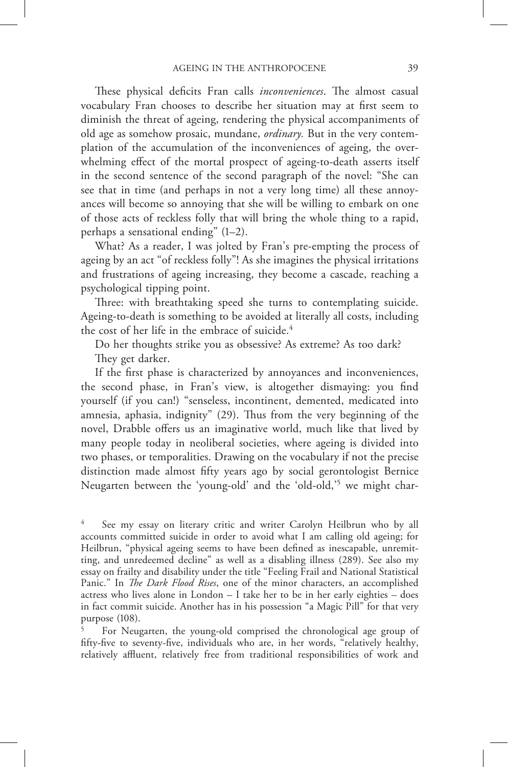These physical deficits Fran calls *inconveniences*. The almost casual vocabulary Fran chooses to describe her situation may at first seem to diminish the threat of ageing, rendering the physical accompaniments of old age as somehow prosaic, mundane, *ordinary.* But in the very contemplation of the accumulation of the inconveniences of ageing, the overwhelming effect of the mortal prospect of ageing-to-death asserts itself in the second sentence of the second paragraph of the novel: "She can see that in time (and perhaps in not a very long time) all these annoyances will become so annoying that she will be willing to embark on one of those acts of reckless folly that will bring the whole thing to a rapid, perhaps a sensational ending" (1–2).

What? As a reader, I was jolted by Fran's pre-empting the process of ageing by an act "of reckless folly"! As she imagines the physical irritations and frustrations of ageing increasing, they become a cascade, reaching a psychological tipping point.

Three: with breathtaking speed she turns to contemplating suicide. Ageing-to-death is something to be avoided at literally all costs, including the cost of her life in the embrace of suicide.<sup>4</sup>

Do her thoughts strike you as obsessive? As extreme? As too dark? They get darker.

If the first phase is characterized by annoyances and inconveniences, the second phase, in Fran's view, is altogether dismaying: you find yourself (if you can!) "senseless, incontinent, demented, medicated into amnesia, aphasia, indignity" (29). Thus from the very beginning of the novel, Drabble offers us an imaginative world, much like that lived by many people today in neoliberal societies, where ageing is divided into two phases, or temporalities. Drawing on the vocabulary if not the precise distinction made almost fifty years ago by social gerontologist Bernice Neugarten between the 'young-old' and the 'old-old,'5 we might char-

See my essay on literary critic and writer Carolyn Heilbrun who by all accounts committed suicide in order to avoid what I am calling old ageing; for Heilbrun, "physical ageing seems to have been defined as inescapable, unremitting, and unredeemed decline" as well as a disabling illness (289). See also my essay on frailty and disability under the title "Feeling Frail and National Statistical Panic." In *The Dark Flood Rises*, one of the minor characters, an accomplished actress who lives alone in London – I take her to be in her early eighties – does in fact commit suicide. Another has in his possession "a Magic Pill" for that very purpose (108).

<sup>5</sup> For Neugarten, the young-old comprised the chronological age group of fifty-five to seventy-five, individuals who are, in her words, "relatively healthy, relatively affluent, relatively free from traditional responsibilities of work and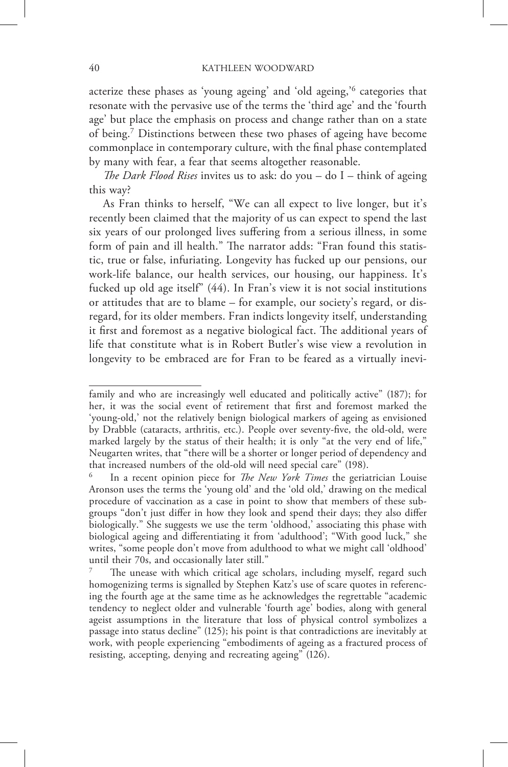acterize these phases as 'young ageing' and 'old ageing,'6 categories that resonate with the pervasive use of the terms the 'third age' and the 'fourth age' but place the emphasis on process and change rather than on a state of being.7 Distinctions between these two phases of ageing have become commonplace in contemporary culture, with the final phase contemplated by many with fear, a fear that seems altogether reasonable.

*The Dark Flood Rises* invites us to ask: do you – do I – think of ageing this way?

As Fran thinks to herself, "We can all expect to live longer, but it's recently been claimed that the majority of us can expect to spend the last six years of our prolonged lives suffering from a serious illness, in some form of pain and ill health." The narrator adds: "Fran found this statistic, true or false, infuriating. Longevity has fucked up our pensions, our work-life balance, our health services, our housing, our happiness. It's fucked up old age itself" (44). In Fran's view it is not social institutions or attitudes that are to blame – for example, our society's regard, or disregard, for its older members. Fran indicts longevity itself, understanding it first and foremost as a negative biological fact. The additional years of life that constitute what is in Robert Butler's wise view a revolution in longevity to be embraced are for Fran to be feared as a virtually inevi-

The unease with which critical age scholars, including myself, regard such homogenizing terms is signalled by Stephen Katz's use of scare quotes in referencing the fourth age at the same time as he acknowledges the regrettable "academic tendency to neglect older and vulnerable 'fourth age' bodies, along with general ageist assumptions in the literature that loss of physical control symbolizes a passage into status decline" (125); his point is that contradictions are inevitably at work, with people experiencing "embodiments of ageing as a fractured process of resisting, accepting, denying and recreating ageing" (126).

family and who are increasingly well educated and politically active" (187); for her, it was the social event of retirement that first and foremost marked the 'young-old,' not the relatively benign biological markers of ageing as envisioned by Drabble (cataracts, arthritis, etc.). People over seventy-five, the old-old, were marked largely by the status of their health; it is only "at the very end of life," Neugarten writes, that "there will be a shorter or longer period of dependency and that increased numbers of the old-old will need special care" (198).<br> $^{6}$  In a recent opinion piece for *The New York Times* the geria

<sup>6</sup> In a recent opinion piece for *The New York Times* the geriatrician Louise Aronson uses the terms the 'young old' and the 'old old,' drawing on the medical procedure of vaccination as a case in point to show that members of these subgroups "don't just differ in how they look and spend their days; they also differ biologically." She suggests we use the term 'oldhood,' associating this phase with biological ageing and differentiating it from 'adulthood'; "With good luck," she writes, "some people don't move from adulthood to what we might call 'oldhood' until their 70s, and occasionally later still."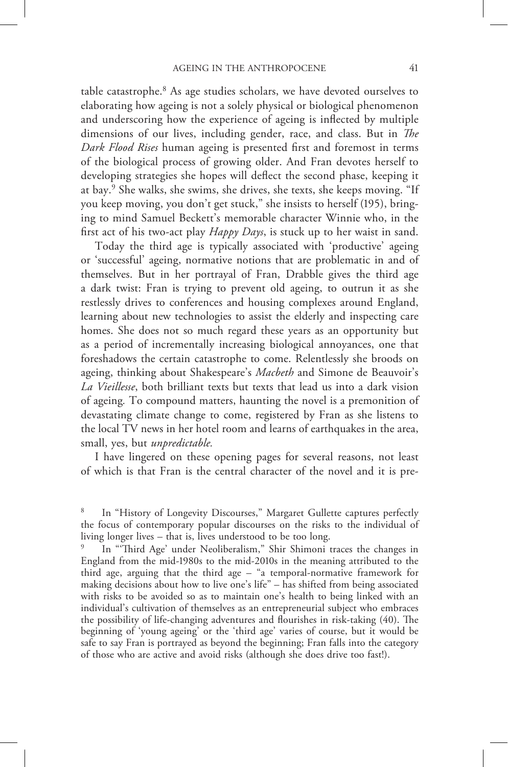table catastrophe.8 As age studies scholars, we have devoted ourselves to elaborating how ageing is not a solely physical or biological phenomenon and underscoring how the experience of ageing is inflected by multiple dimensions of our lives, including gender, race, and class. But in *The Dark Flood Rises* human ageing is presented first and foremost in terms of the biological process of growing older. And Fran devotes herself to developing strategies she hopes will deflect the second phase, keeping it at bay.9 She walks, she swims, she drives, she texts, she keeps moving. "If you keep moving, you don't get stuck," she insists to herself (195), bringing to mind Samuel Beckett's memorable character Winnie who, in the first act of his two-act play *Happy Days*, is stuck up to her waist in sand.

Today the third age is typically associated with 'productive' ageing or 'successful' ageing, normative notions that are problematic in and of themselves. But in her portrayal of Fran, Drabble gives the third age a dark twist: Fran is trying to prevent old ageing, to outrun it as she restlessly drives to conferences and housing complexes around England, learning about new technologies to assist the elderly and inspecting care homes. She does not so much regard these years as an opportunity but as a period of incrementally increasing biological annoyances, one that foreshadows the certain catastrophe to come. Relentlessly she broods on ageing, thinking about Shakespeare's *Macbeth* and Simone de Beauvoir's *La Vieillesse*, both brilliant texts but texts that lead us into a dark vision of ageing*.* To compound matters, haunting the novel is a premonition of devastating climate change to come, registered by Fran as she listens to the local TV news in her hotel room and learns of earthquakes in the area, small, yes, but *unpredictable.*

I have lingered on these opening pages for several reasons, not least of which is that Fran is the central character of the novel and it is pre-

<sup>9</sup> In "'Third Age' under Neoliberalism," Shir Shimoni traces the changes in England from the mid-1980s to the mid-2010s in the meaning attributed to the third age, arguing that the third age – "a temporal-normative framework for making decisions about how to live one's life" – has shifted from being associated with risks to be avoided so as to maintain one's health to being linked with an individual's cultivation of themselves as an entrepreneurial subject who embraces the possibility of life-changing adventures and flourishes in risk-taking (40). The beginning of 'young ageing' or the 'third age' varies of course, but it would be safe to say Fran is portrayed as beyond the beginning; Fran falls into the category of those who are active and avoid risks (although she does drive too fast!).

In "History of Longevity Discourses," Margaret Gullette captures perfectly the focus of contemporary popular discourses on the risks to the individual of living longer lives – that is, lives understood to be too long.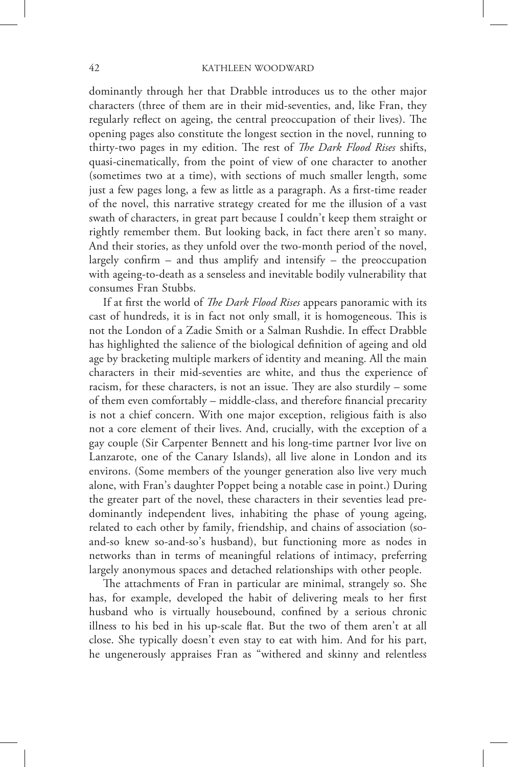dominantly through her that Drabble introduces us to the other major characters (three of them are in their mid-seventies, and, like Fran, they regularly reflect on ageing, the central preoccupation of their lives). The opening pages also constitute the longest section in the novel, running to thirty-two pages in my edition. The rest of *The Dark Flood Rises* shifts, quasi-cinematically, from the point of view of one character to another (sometimes two at a time), with sections of much smaller length, some just a few pages long, a few as little as a paragraph. As a first-time reader of the novel, this narrative strategy created for me the illusion of a vast swath of characters, in great part because I couldn't keep them straight or rightly remember them. But looking back, in fact there aren't so many. And their stories, as they unfold over the two-month period of the novel, largely confirm  $-$  and thus amplify and intensify  $-$  the preoccupation with ageing-to-death as a senseless and inevitable bodily vulnerability that consumes Fran Stubbs.

If at first the world of *The Dark Flood Rises* appears panoramic with its cast of hundreds, it is in fact not only small, it is homogeneous. This is not the London of a Zadie Smith or a Salman Rushdie. In effect Drabble has highlighted the salience of the biological definition of ageing and old age by bracketing multiple markers of identity and meaning. All the main characters in their mid-seventies are white, and thus the experience of racism, for these characters, is not an issue. They are also sturdily – some of them even comfortably – middle-class, and therefore financial precarity is not a chief concern. With one major exception, religious faith is also not a core element of their lives. And, crucially, with the exception of a gay couple (Sir Carpenter Bennett and his long-time partner Ivor live on Lanzarote, one of the Canary Islands), all live alone in London and its environs. (Some members of the younger generation also live very much alone, with Fran's daughter Poppet being a notable case in point.) During the greater part of the novel, these characters in their seventies lead predominantly independent lives, inhabiting the phase of young ageing, related to each other by family, friendship, and chains of association (soand-so knew so-and-so's husband), but functioning more as nodes in networks than in terms of meaningful relations of intimacy, preferring largely anonymous spaces and detached relationships with other people.

The attachments of Fran in particular are minimal, strangely so. She has, for example, developed the habit of delivering meals to her first husband who is virtually housebound, confined by a serious chronic illness to his bed in his up-scale flat. But the two of them aren't at all close. She typically doesn't even stay to eat with him. And for his part, he ungenerously appraises Fran as "withered and skinny and relentless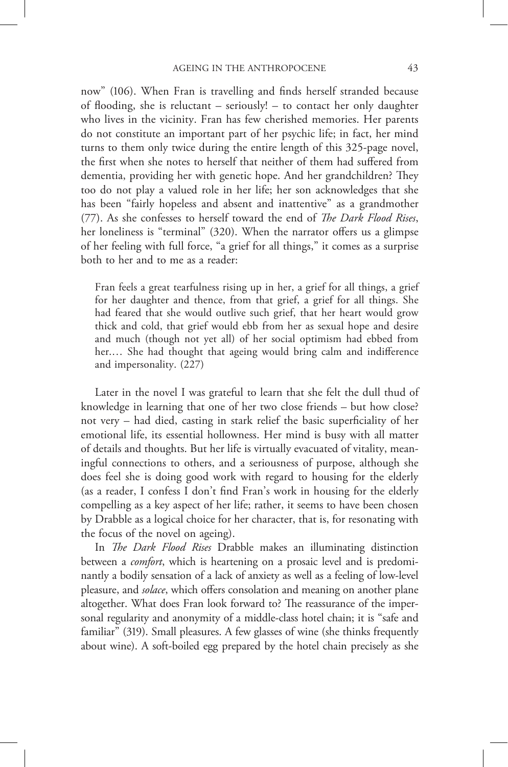now" (106). When Fran is travelling and finds herself stranded because of flooding, she is reluctant – seriously! – to contact her only daughter who lives in the vicinity. Fran has few cherished memories. Her parents do not constitute an important part of her psychic life; in fact, her mind turns to them only twice during the entire length of this 325-page novel, the first when she notes to herself that neither of them had suffered from dementia, providing her with genetic hope. And her grandchildren? They too do not play a valued role in her life; her son acknowledges that she has been "fairly hopeless and absent and inattentive" as a grandmother (77). As she confesses to herself toward the end of *The Dark Flood Rises*, her loneliness is "terminal" (320). When the narrator offers us a glimpse of her feeling with full force, "a grief for all things," it comes as a surprise both to her and to me as a reader:

Fran feels a great tearfulness rising up in her, a grief for all things, a grief for her daughter and thence, from that grief, a grief for all things. She had feared that she would outlive such grief, that her heart would grow thick and cold, that grief would ebb from her as sexual hope and desire and much (though not yet all) of her social optimism had ebbed from her.… She had thought that ageing would bring calm and indifference and impersonality. (227)

Later in the novel I was grateful to learn that she felt the dull thud of knowledge in learning that one of her two close friends – but how close? not very – had died, casting in stark relief the basic superficiality of her emotional life, its essential hollowness. Her mind is busy with all matter of details and thoughts. But her life is virtually evacuated of vitality, meaningful connections to others, and a seriousness of purpose, although she does feel she is doing good work with regard to housing for the elderly (as a reader, I confess I don't find Fran's work in housing for the elderly compelling as a key aspect of her life; rather, it seems to have been chosen by Drabble as a logical choice for her character, that is, for resonating with the focus of the novel on ageing).

In *The Dark Flood Rises* Drabble makes an illuminating distinction between a *comfort*, which is heartening on a prosaic level and is predominantly a bodily sensation of a lack of anxiety as well as a feeling of low-level pleasure, and *solace*, which offers consolation and meaning on another plane altogether. What does Fran look forward to? The reassurance of the impersonal regularity and anonymity of a middle-class hotel chain; it is "safe and familiar" (319). Small pleasures. A few glasses of wine (she thinks frequently about wine). A soft-boiled egg prepared by the hotel chain precisely as she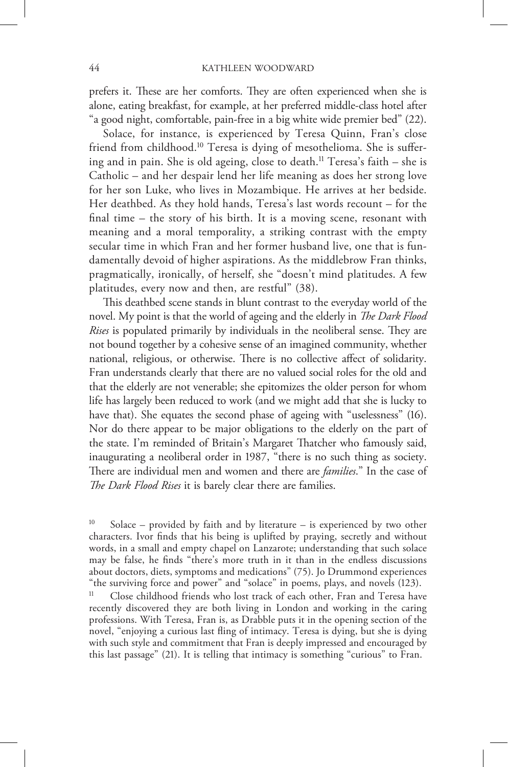prefers it. These are her comforts. They are often experienced when she is alone, eating breakfast, for example, at her preferred middle-class hotel after "a good night, comfortable, pain-free in a big white wide premier bed" (22).

Solace, for instance, is experienced by Teresa Quinn, Fran's close friend from childhood.10 Teresa is dying of mesothelioma. She is suffering and in pain. She is old ageing, close to death.<sup>11</sup> Teresa's faith – she is Catholic – and her despair lend her life meaning as does her strong love for her son Luke, who lives in Mozambique. He arrives at her bedside. Her deathbed. As they hold hands, Teresa's last words recount – for the final time – the story of his birth. It is a moving scene, resonant with meaning and a moral temporality, a striking contrast with the empty secular time in which Fran and her former husband live, one that is fundamentally devoid of higher aspirations. As the middlebrow Fran thinks, pragmatically, ironically, of herself, she "doesn't mind platitudes. A few platitudes, every now and then, are restful" (38).

This deathbed scene stands in blunt contrast to the everyday world of the novel. My point is that the world of ageing and the elderly in *The Dark Flood Rises* is populated primarily by individuals in the neoliberal sense. They are not bound together by a cohesive sense of an imagined community, whether national, religious, or otherwise. There is no collective affect of solidarity. Fran understands clearly that there are no valued social roles for the old and that the elderly are not venerable; she epitomizes the older person for whom life has largely been reduced to work (and we might add that she is lucky to have that). She equates the second phase of ageing with "uselessness" (16). Nor do there appear to be major obligations to the elderly on the part of the state. I'm reminded of Britain's Margaret Thatcher who famously said, inaugurating a neoliberal order in 1987, "there is no such thing as society. There are individual men and women and there are *families*." In the case of *The Dark Flood Rises* it is barely clear there are families.

 $10$  Solace – provided by faith and by literature – is experienced by two other characters. Ivor finds that his being is uplifted by praying, secretly and without words, in a small and empty chapel on Lanzarote; understanding that such solace may be false, he finds "there's more truth in it than in the endless discussions about doctors, diets, symptoms and medications" (75). Jo Drummond experiences "the surviving force and power" and "solace" in poems, plays, and novels (123).

Close childhood friends who lost track of each other, Fran and Teresa have recently discovered they are both living in London and working in the caring professions. With Teresa, Fran is, as Drabble puts it in the opening section of the novel, "enjoying a curious last fling of intimacy. Teresa is dying, but she is dying with such style and commitment that Fran is deeply impressed and encouraged by this last passage" (21). It is telling that intimacy is something "curious" to Fran.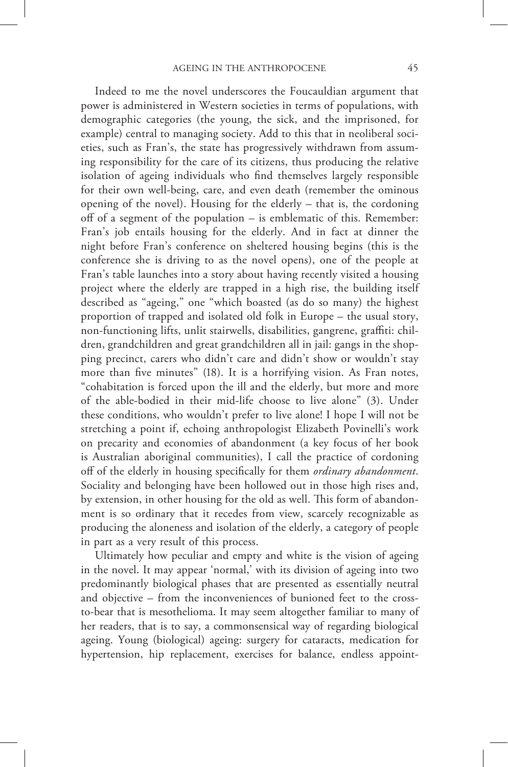Indeed to me the novel underscores the Foucauldian argument that power is administered in Western societies in terms of populations, with demographic categories (the young, the sick, and the imprisoned, for example) central to managing society. Add to this that in neoliberal societies, such as Fran's, the state has progressively withdrawn from assuming responsibility for the care of its citizens, thus producing the relative isolation of ageing individuals who find themselves largely responsible for their own well-being, care, and even death (remember the ominous opening of the novel). Housing for the elderly – that is, the cordoning off of a segment of the population – is emblematic of this. Remember: Fran's job entails housing for the elderly. And in fact at dinner the night before Fran's conference on sheltered housing begins (this is the conference she is driving to as the novel opens), one of the people at Fran's table launches into a story about having recently visited a housing project where the elderly are trapped in a high rise, the building itself described as "ageing," one "which boasted (as do so many) the highest proportion of trapped and isolated old folk in Europe – the usual story, non-functioning lifts, unlit stairwells, disabilities, gangrene, graffiti: children, grandchildren and great grandchildren all in jail: gangs in the shopping precinct, carers who didn't care and didn't show or wouldn't stay more than five minutes" (18). It is a horrifying vision. As Fran notes, "cohabitation is forced upon the ill and the elderly, but more and more of the able-bodied in their mid-life choose to live alone" (3). Under these conditions, who wouldn't prefer to live alone! I hope I will not be stretching a point if, echoing anthropologist Elizabeth Povinelli's work on precarity and economies of abandonment (a key focus of her book is Australian aboriginal communities), I call the practice of cordoning off of the elderly in housing specifically for them *ordinary abandonment*. Sociality and belonging have been hollowed out in those high rises and, by extension, in other housing for the old as well. This form of abandonment is so ordinary that it recedes from view, scarcely recognizable as producing the aloneness and isolation of the elderly, a category of people in part as a very result of this process.

Ultimately how peculiar and empty and white is the vision of ageing in the novel. It may appear 'normal,' with its division of ageing into two predominantly biological phases that are presented as essentially neutral and objective – from the inconveniences of bunioned feet to the crossto-bear that is mesothelioma. It may seem altogether familiar to many of her readers, that is to say, a commonsensical way of regarding biological ageing. Young (biological) ageing: surgery for cataracts, medication for hypertension, hip replacement, exercises for balance, endless appoint-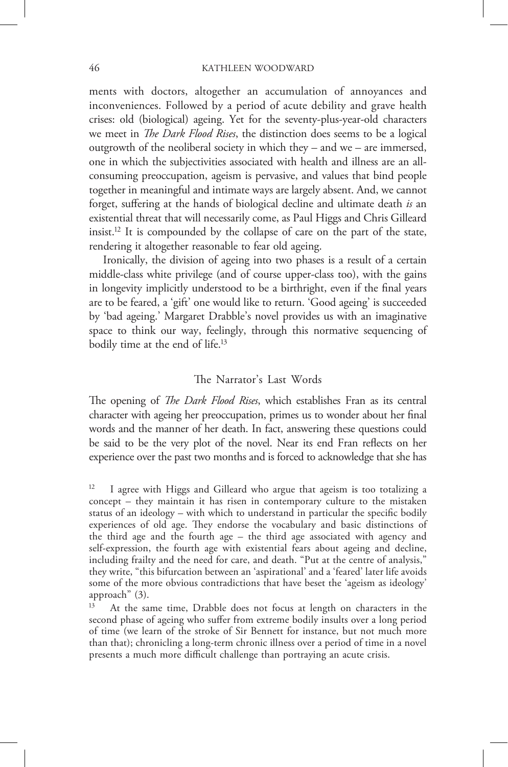ments with doctors, altogether an accumulation of annoyances and inconveniences. Followed by a period of acute debility and grave health crises: old (biological) ageing. Yet for the seventy-plus-year-old characters we meet in *The Dark Flood Rises*, the distinction does seems to be a logical outgrowth of the neoliberal society in which they – and we – are immersed, one in which the subjectivities associated with health and illness are an allconsuming preoccupation, ageism is pervasive, and values that bind people together in meaningful and intimate ways are largely absent. And, we cannot forget, suffering at the hands of biological decline and ultimate death *is* an existential threat that will necessarily come, as Paul Higgs and Chris Gilleard insist.12 It is compounded by the collapse of care on the part of the state, rendering it altogether reasonable to fear old ageing.

Ironically, the division of ageing into two phases is a result of a certain middle-class white privilege (and of course upper-class too), with the gains in longevity implicitly understood to be a birthright, even if the final years are to be feared, a 'gift' one would like to return. 'Good ageing' is succeeded by 'bad ageing.' Margaret Drabble's novel provides us with an imaginative space to think our way, feelingly, through this normative sequencing of bodily time at the end of life.13

# The Narrator's Last Words

The opening of *The Dark Flood Rises*, which establishes Fran as its central character with ageing her preoccupation, primes us to wonder about her final words and the manner of her death. In fact, answering these questions could be said to be the very plot of the novel. Near its end Fran reflects on her experience over the past two months and is forced to acknowledge that she has

<sup>12</sup> I agree with Higgs and Gilleard who argue that ageism is too totalizing a concept – they maintain it has risen in contemporary culture to the mistaken status of an ideology – with which to understand in particular the specific bodily experiences of old age. They endorse the vocabulary and basic distinctions of the third age and the fourth age – the third age associated with agency and self-expression, the fourth age with existential fears about ageing and decline, including frailty and the need for care, and death. "Put at the centre of analysis," they write, "this bifurcation between an 'aspirational' and a 'feared' later life avoids some of the more obvious contradictions that have beset the 'ageism as ideology' approach" (3).

At the same time, Drabble does not focus at length on characters in the second phase of ageing who suffer from extreme bodily insults over a long period of time (we learn of the stroke of Sir Bennett for instance, but not much more than that); chronicling a long-term chronic illness over a period of time in a novel presents a much more difficult challenge than portraying an acute crisis.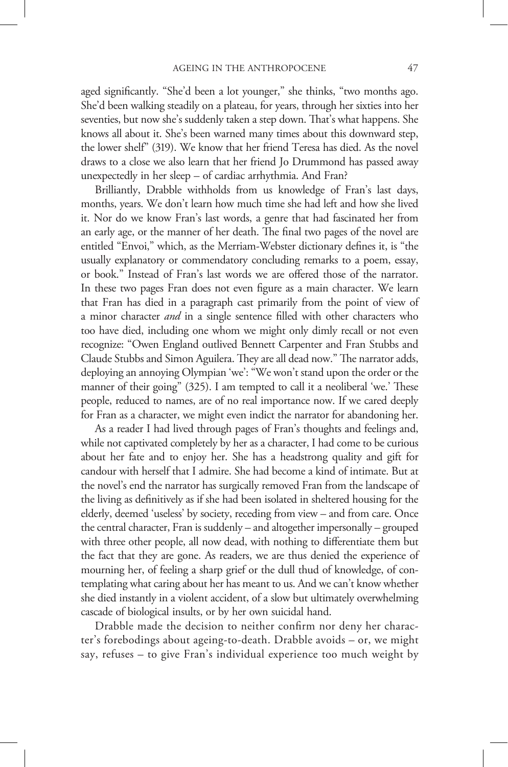aged significantly. "She'd been a lot younger," she thinks, "two months ago. She'd been walking steadily on a plateau, for years, through her sixties into her seventies, but now she's suddenly taken a step down. That's what happens. She knows all about it. She's been warned many times about this downward step, the lower shelf" (319). We know that her friend Teresa has died. As the novel draws to a close we also learn that her friend Jo Drummond has passed away unexpectedly in her sleep – of cardiac arrhythmia. And Fran?

Brilliantly, Drabble withholds from us knowledge of Fran's last days, months, years. We don't learn how much time she had left and how she lived it. Nor do we know Fran's last words, a genre that had fascinated her from an early age, or the manner of her death. The final two pages of the novel are entitled "Envoi," which, as the Merriam-Webster dictionary defines it, is "the usually explanatory or commendatory concluding remarks to a poem, essay, or book." Instead of Fran's last words we are offered those of the narrator. In these two pages Fran does not even figure as a main character. We learn that Fran has died in a paragraph cast primarily from the point of view of a minor character *and* in a single sentence filled with other characters who too have died, including one whom we might only dimly recall or not even recognize: "Owen England outlived Bennett Carpenter and Fran Stubbs and Claude Stubbs and Simon Aguilera. They are all dead now." The narrator adds, deploying an annoying Olympian 'we': "We won't stand upon the order or the manner of their going" (325). I am tempted to call it a neoliberal 'we.' These people, reduced to names, are of no real importance now. If we cared deeply for Fran as a character, we might even indict the narrator for abandoning her.

As a reader I had lived through pages of Fran's thoughts and feelings and, while not captivated completely by her as a character, I had come to be curious about her fate and to enjoy her. She has a headstrong quality and gift for candour with herself that I admire. She had become a kind of intimate. But at the novel's end the narrator has surgically removed Fran from the landscape of the living as definitively as if she had been isolated in sheltered housing for the elderly, deemed 'useless' by society, receding from view – and from care. Once the central character, Fran is suddenly – and altogether impersonally – grouped with three other people, all now dead, with nothing to differentiate them but the fact that they are gone. As readers, we are thus denied the experience of mourning her, of feeling a sharp grief or the dull thud of knowledge, of contemplating what caring about her has meant to us. And we can't know whether she died instantly in a violent accident, of a slow but ultimately overwhelming cascade of biological insults, or by her own suicidal hand.

Drabble made the decision to neither confirm nor deny her character's forebodings about ageing-to-death. Drabble avoids – or, we might say, refuses – to give Fran's individual experience too much weight by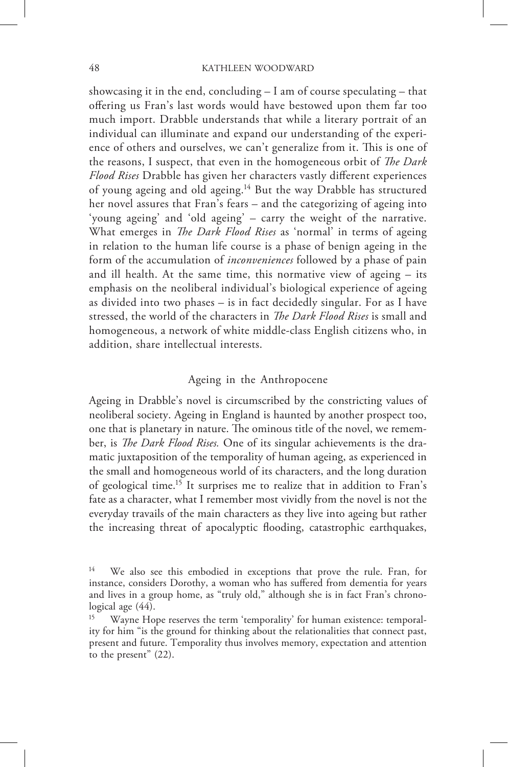showcasing it in the end, concluding – I am of course speculating – that offering us Fran's last words would have bestowed upon them far too much import. Drabble understands that while a literary portrait of an individual can illuminate and expand our understanding of the experience of others and ourselves, we can't generalize from it. This is one of the reasons, I suspect, that even in the homogeneous orbit of *The Dark Flood Rises* Drabble has given her characters vastly different experiences of young ageing and old ageing.14 But the way Drabble has structured her novel assures that Fran's fears – and the categorizing of ageing into 'young ageing' and 'old ageing' – carry the weight of the narrative. What emerges in *The Dark Flood Rises* as 'normal' in terms of ageing in relation to the human life course is a phase of benign ageing in the form of the accumulation of *inconveniences* followed by a phase of pain and ill health. At the same time, this normative view of ageing – its emphasis on the neoliberal individual's biological experience of ageing as divided into two phases – is in fact decidedly singular. For as I have stressed, the world of the characters in *The Dark Flood Rises* is small and homogeneous, a network of white middle-class English citizens who, in addition, share intellectual interests.

# Ageing in the Anthropocene

Ageing in Drabble's novel is circumscribed by the constricting values of neoliberal society. Ageing in England is haunted by another prospect too, one that is planetary in nature. The ominous title of the novel, we remember, is *The Dark Flood Rises.* One of its singular achievements is the dramatic juxtaposition of the temporality of human ageing, as experienced in the small and homogeneous world of its characters, and the long duration of geological time.15 It surprises me to realize that in addition to Fran's fate as a character, what I remember most vividly from the novel is not the everyday travails of the main characters as they live into ageing but rather the increasing threat of apocalyptic flooding, catastrophic earthquakes,

<sup>&</sup>lt;sup>14</sup> We also see this embodied in exceptions that prove the rule. Fran, for instance, considers Dorothy, a woman who has suffered from dementia for years and lives in a group home, as "truly old," although she is in fact Fran's chronological age (44).

Wayne Hope reserves the term 'temporality' for human existence: temporality for him "is the ground for thinking about the relationalities that connect past, present and future. Temporality thus involves memory, expectation and attention to the present" (22).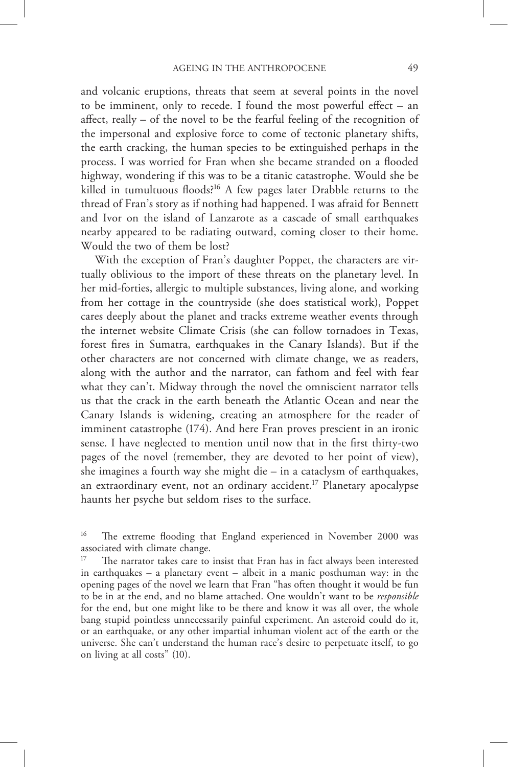and volcanic eruptions, threats that seem at several points in the novel to be imminent, only to recede. I found the most powerful effect – an affect, really – of the novel to be the fearful feeling of the recognition of the impersonal and explosive force to come of tectonic planetary shifts, the earth cracking, the human species to be extinguished perhaps in the process. I was worried for Fran when she became stranded on a flooded highway, wondering if this was to be a titanic catastrophe. Would she be killed in tumultuous floods?<sup>16</sup> A few pages later Drabble returns to the thread of Fran's story as if nothing had happened. I was afraid for Bennett and Ivor on the island of Lanzarote as a cascade of small earthquakes nearby appeared to be radiating outward, coming closer to their home. Would the two of them be lost?

With the exception of Fran's daughter Poppet, the characters are virtually oblivious to the import of these threats on the planetary level. In her mid-forties, allergic to multiple substances, living alone, and working from her cottage in the countryside (she does statistical work), Poppet cares deeply about the planet and tracks extreme weather events through the internet website Climate Crisis (she can follow tornadoes in Texas, forest fires in Sumatra, earthquakes in the Canary Islands). But if the other characters are not concerned with climate change, we as readers, along with the author and the narrator, can fathom and feel with fear what they can't. Midway through the novel the omniscient narrator tells us that the crack in the earth beneath the Atlantic Ocean and near the Canary Islands is widening, creating an atmosphere for the reader of imminent catastrophe (174). And here Fran proves prescient in an ironic sense. I have neglected to mention until now that in the first thirty-two pages of the novel (remember, they are devoted to her point of view), she imagines a fourth way she might die – in a cataclysm of earthquakes, an extraordinary event, not an ordinary accident.<sup>17</sup> Planetary apocalypse haunts her psyche but seldom rises to the surface.

The extreme flooding that England experienced in November 2000 was associated with climate change.

The narrator takes care to insist that Fran has in fact always been interested in earthquakes – a planetary event – albeit in a manic posthuman way: in the opening pages of the novel we learn that Fran "has often thought it would be fun to be in at the end, and no blame attached. One wouldn't want to be *responsible*  for the end, but one might like to be there and know it was all over, the whole bang stupid pointless unnecessarily painful experiment. An asteroid could do it, or an earthquake, or any other impartial inhuman violent act of the earth or the universe. She can't understand the human race's desire to perpetuate itself, to go on living at all costs" (10).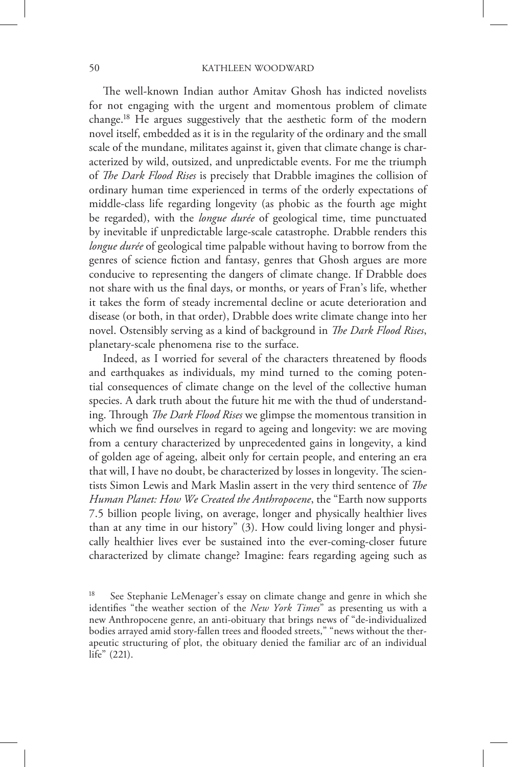The well-known Indian author Amitav Ghosh has indicted novelists for not engaging with the urgent and momentous problem of climate change.18 He argues suggestively that the aesthetic form of the modern novel itself, embedded as it is in the regularity of the ordinary and the small scale of the mundane, militates against it, given that climate change is characterized by wild, outsized, and unpredictable events. For me the triumph of *The Dark Flood Rises* is precisely that Drabble imagines the collision of ordinary human time experienced in terms of the orderly expectations of middle-class life regarding longevity (as phobic as the fourth age might be regarded), with the *longue durée* of geological time, time punctuated by inevitable if unpredictable large-scale catastrophe. Drabble renders this *longue durée* of geological time palpable without having to borrow from the genres of science fiction and fantasy, genres that Ghosh argues are more conducive to representing the dangers of climate change. If Drabble does not share with us the final days, or months, or years of Fran's life, whether it takes the form of steady incremental decline or acute deterioration and disease (or both, in that order), Drabble does write climate change into her novel. Ostensibly serving as a kind of background in *The Dark Flood Rises*, planetary-scale phenomena rise to the surface.

Indeed, as I worried for several of the characters threatened by floods and earthquakes as individuals, my mind turned to the coming potential consequences of climate change on the level of the collective human species. A dark truth about the future hit me with the thud of understanding. Through *The Dark Flood Rises* we glimpse the momentous transition in which we find ourselves in regard to ageing and longevity: we are moving from a century characterized by unprecedented gains in longevity, a kind of golden age of ageing, albeit only for certain people, and entering an era that will, I have no doubt, be characterized by losses in longevity. The scientists Simon Lewis and Mark Maslin assert in the very third sentence of *The Human Planet: How We Created the Anthropocene*, the "Earth now supports 7.5 billion people living, on average, longer and physically healthier lives than at any time in our history" (3). How could living longer and physically healthier lives ever be sustained into the ever-coming-closer future characterized by climate change? Imagine: fears regarding ageing such as

<sup>18</sup> See Stephanie LeMenager's essay on climate change and genre in which she identifies "the weather section of the *New York Times*" as presenting us with a new Anthropocene genre, an anti-obituary that brings news of "de-individualized bodies arrayed amid story-fallen trees and flooded streets," "news without the therapeutic structuring of plot, the obituary denied the familiar arc of an individual life" (221).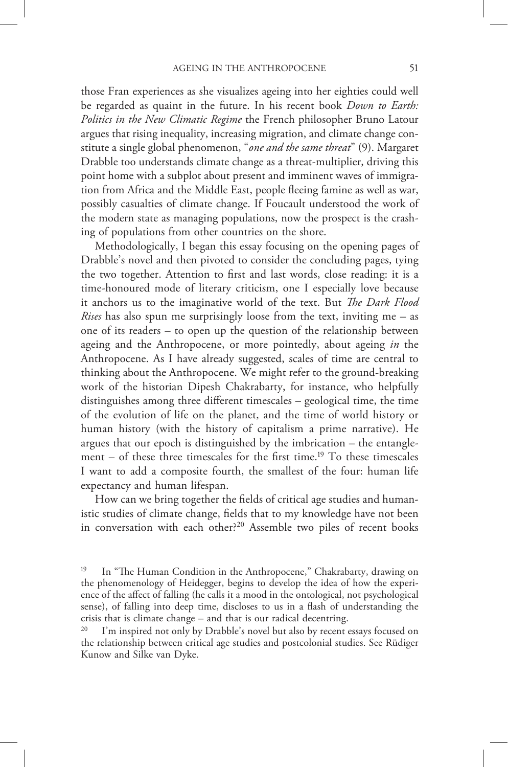those Fran experiences as she visualizes ageing into her eighties could well be regarded as quaint in the future. In his recent book *Down to Earth: Politics in the New Climatic Regime* the French philosopher Bruno Latour argues that rising inequality, increasing migration, and climate change constitute a single global phenomenon, "*one and the same threat*" (9). Margaret Drabble too understands climate change as a threat-multiplier, driving this point home with a subplot about present and imminent waves of immigration from Africa and the Middle East, people fleeing famine as well as war, possibly casualties of climate change. If Foucault understood the work of the modern state as managing populations, now the prospect is the crashing of populations from other countries on the shore.

Methodologically, I began this essay focusing on the opening pages of Drabble's novel and then pivoted to consider the concluding pages, tying the two together. Attention to first and last words, close reading: it is a time-honoured mode of literary criticism, one I especially love because it anchors us to the imaginative world of the text. But *The Dark Flood Rises* has also spun me surprisingly loose from the text, inviting me – as one of its readers – to open up the question of the relationship between ageing and the Anthropocene, or more pointedly, about ageing *in* the Anthropocene. As I have already suggested, scales of time are central to thinking about the Anthropocene. We might refer to the ground-breaking work of the historian Dipesh Chakrabarty, for instance, who helpfully distinguishes among three different timescales – geological time, the time of the evolution of life on the planet, and the time of world history or human history (with the history of capitalism a prime narrative). He argues that our epoch is distinguished by the imbrication – the entanglement – of these three timescales for the first time.<sup>19</sup> To these timescales I want to add a composite fourth, the smallest of the four: human life expectancy and human lifespan.

How can we bring together the fields of critical age studies and humanistic studies of climate change, fields that to my knowledge have not been in conversation with each other?20 Assemble two piles of recent books

I'm inspired not only by Drabble's novel but also by recent essays focused on the relationship between critical age studies and postcolonial studies. See Rüdiger Kunow and Silke van Dyke.

In "The Human Condition in the Anthropocene," Chakrabarty, drawing on the phenomenology of Heidegger, begins to develop the idea of how the experience of the affect of falling (he calls it a mood in the ontological, not psychological sense), of falling into deep time, discloses to us in a flash of understanding the crisis that is climate change – and that is our radical decentring.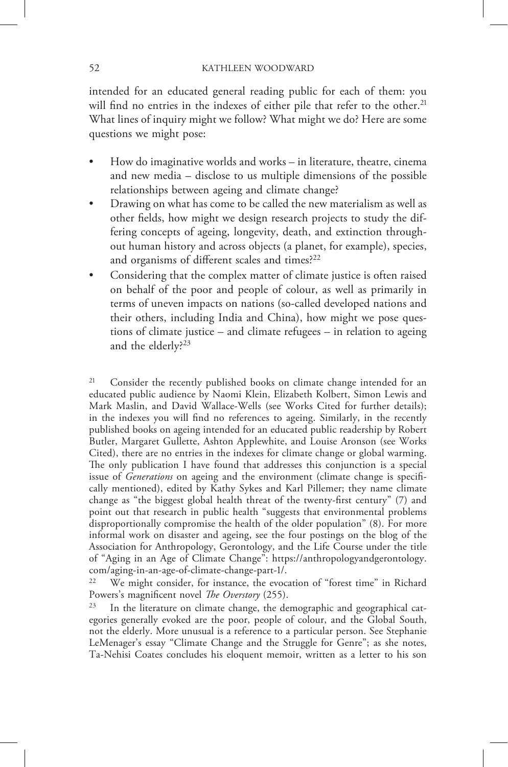intended for an educated general reading public for each of them: you will find no entries in the indexes of either pile that refer to the other.<sup>21</sup> What lines of inquiry might we follow? What might we do? Here are some questions we might pose:

- How do imaginative worlds and works in literature, theatre, cinema and new media – disclose to us multiple dimensions of the possible relationships between ageing and climate change?
- Drawing on what has come to be called the new materialism as well as other fields, how might we design research projects to study the differing concepts of ageing, longevity, death, and extinction throughout human history and across objects (a planet, for example), species, and organisms of different scales and times?<sup>22</sup>
- Considering that the complex matter of climate justice is often raised on behalf of the poor and people of colour, as well as primarily in terms of uneven impacts on nations (so-called developed nations and their others, including India and China), how might we pose questions of climate justice – and climate refugees – in relation to ageing and the elderly?23

<sup>21</sup> Consider the recently published books on climate change intended for an educated public audience by Naomi Klein, Elizabeth Kolbert, Simon Lewis and Mark Maslin, and David Wallace-Wells (see Works Cited for further details); in the indexes you will find no references to ageing. Similarly, in the recently published books on ageing intended for an educated public readership by Robert Butler, Margaret Gullette, Ashton Applewhite, and Louise Aronson (see Works Cited), there are no entries in the indexes for climate change or global warming. The only publication I have found that addresses this conjunction is a special issue of *Generations* on ageing and the environment (climate change is specifically mentioned), edited by Kathy Sykes and Karl Pillemer; they name climate change as "the biggest global health threat of the twenty-first century" (7) and point out that research in public health "suggests that environmental problems disproportionally compromise the health of the older population" (8). For more informal work on disaster and ageing, see the four postings on the blog of the Association for Anthropology, Gerontology, and the Life Course under the title of "Aging in an Age of Climate Change": https://anthropologyandgerontology. com/aging-in-an-age-of-climate-change-part-1/.

<sup>22</sup> We might consider, for instance, the evocation of "forest time" in Richard Powers's magnificent novel *The Overstory* (255).

<sup>23</sup> In the literature on climate change, the demographic and geographical categories generally evoked are the poor, people of colour, and the Global South, not the elderly. More unusual is a reference to a particular person. See Stephanie LeMenager's essay "Climate Change and the Struggle for Genre"; as she notes, Ta-Nehisi Coates concludes his eloquent memoir, written as a letter to his son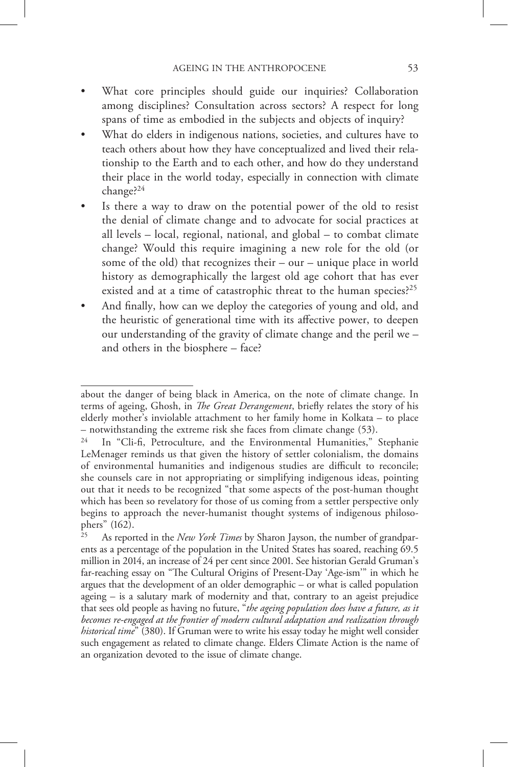- What core principles should guide our inquiries? Collaboration among disciplines? Consultation across sectors? A respect for long spans of time as embodied in the subjects and objects of inquiry?
- What do elders in indigenous nations, societies, and cultures have to teach others about how they have conceptualized and lived their relationship to the Earth and to each other, and how do they understand their place in the world today, especially in connection with climate change?<sup>24</sup>
- Is there a way to draw on the potential power of the old to resist the denial of climate change and to advocate for social practices at all levels – local, regional, national, and global – to combat climate change? Would this require imagining a new role for the old (or some of the old) that recognizes their – our – unique place in world history as demographically the largest old age cohort that has ever existed and at a time of catastrophic threat to the human species?<sup>25</sup>
- And finally, how can we deploy the categories of young and old, and the heuristic of generational time with its affective power, to deepen our understanding of the gravity of climate change and the peril we – and others in the biosphere – face?

about the danger of being black in America, on the note of climate change. In terms of ageing, Ghosh, in *The Great Derangement*, briefly relates the story of his elderly mother's inviolable attachment to her family home in Kolkata – to place – notwithstanding the extreme risk she faces from climate change (53).<br><sup>24</sup> In "Cli-fi Petroculture, and the Environmental Humanities."

In "Cli-fi, Petroculture, and the Environmental Humanities," Stephanie LeMenager reminds us that given the history of settler colonialism, the domains of environmental humanities and indigenous studies are difficult to reconcile; she counsels care in not appropriating or simplifying indigenous ideas, pointing out that it needs to be recognized "that some aspects of the post-human thought which has been so revelatory for those of us coming from a settler perspective only begins to approach the never-humanist thought systems of indigenous philosophers" (162).

<sup>25</sup> As reported in the *New York Times* by Sharon Jayson, the number of grandparents as a percentage of the population in the United States has soared, reaching 69.5 million in 2014, an increase of 24 per cent since 2001. See historian Gerald Gruman's far-reaching essay on "The Cultural Origins of Present-Day 'Age-ism'" in which he argues that the development of an older demographic – or what is called population ageing – is a salutary mark of modernity and that, contrary to an ageist prejudice that sees old people as having no future, "*the ageing population does have a future, as it becomes re-engaged at the frontier of modern cultural adaptation and realization through historical time*" (380). If Gruman were to write his essay today he might well consider such engagement as related to climate change. Elders Climate Action is the name of an organization devoted to the issue of climate change.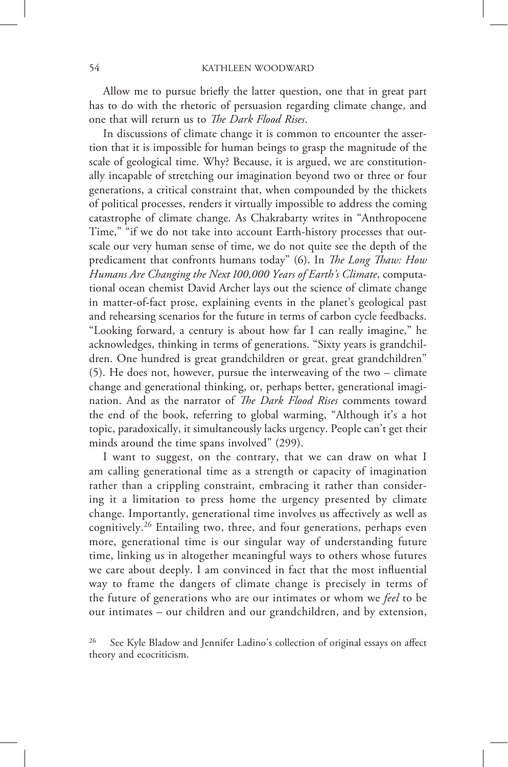Allow me to pursue briefly the latter question, one that in great part has to do with the rhetoric of persuasion regarding climate change, and one that will return us to *The Dark Flood Rises*.

In discussions of climate change it is common to encounter the assertion that it is impossible for human beings to grasp the magnitude of the scale of geological time. Why? Because, it is argued, we are constitutionally incapable of stretching our imagination beyond two or three or four generations, a critical constraint that, when compounded by the thickets of political processes, renders it virtually impossible to address the coming catastrophe of climate change. As Chakrabarty writes in "Anthropocene Time," "if we do not take into account Earth-history processes that outscale our very human sense of time, we do not quite see the depth of the predicament that confronts humans today" (6). In *The Long Thaw: How Humans Are Changing the Next 100,000 Years of Earth's Climate*, computational ocean chemist David Archer lays out the science of climate change in matter-of-fact prose, explaining events in the planet's geological past and rehearsing scenarios for the future in terms of carbon cycle feedbacks. "Looking forward, a century is about how far I can really imagine," he acknowledges, thinking in terms of generations. "Sixty years is grandchildren. One hundred is great grandchildren or great, great grandchildren" (5). He does not, however, pursue the interweaving of the two – climate change and generational thinking, or, perhaps better, generational imagination. And as the narrator of *The Dark Flood Rises* comments toward the end of the book, referring to global warming, "Although it's a hot topic, paradoxically, it simultaneously lacks urgency. People can't get their minds around the time spans involved" (299).

I want to suggest, on the contrary, that we can draw on what I am calling generational time as a strength or capacity of imagination rather than a crippling constraint, embracing it rather than considering it a limitation to press home the urgency presented by climate change. Importantly, generational time involves us affectively as well as cognitively.26 Entailing two, three, and four generations, perhaps even more, generational time is our singular way of understanding future time, linking us in altogether meaningful ways to others whose futures we care about deeply. I am convinced in fact that the most influential way to frame the dangers of climate change is precisely in terms of the future of generations who are our intimates or whom we *feel* to be our intimates – our children and our grandchildren, and by extension,

<sup>26</sup> See Kyle Bladow and Jennifer Ladino's collection of original essays on affect theory and ecocriticism.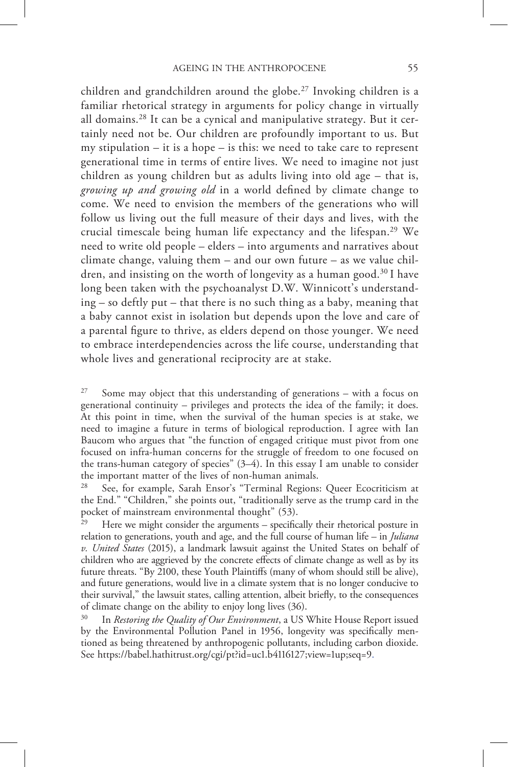children and grandchildren around the globe.<sup>27</sup> Invoking children is a familiar rhetorical strategy in arguments for policy change in virtually all domains.28 It can be a cynical and manipulative strategy. But it certainly need not be. Our children are profoundly important to us. But my stipulation – it is a hope – is this: we need to take care to represent generational time in terms of entire lives. We need to imagine not just children as young children but as adults living into old age – that is, *growing up and growing old* in a world defined by climate change to come. We need to envision the members of the generations who will follow us living out the full measure of their days and lives, with the crucial timescale being human life expectancy and the lifespan.29 We need to write old people – elders – into arguments and narratives about climate change, valuing them – and our own future – as we value children, and insisting on the worth of longevity as a human good.<sup>30</sup> I have long been taken with the psychoanalyst D.W. Winnicott's understanding – so deftly put – that there is no such thing as a baby, meaning that a baby cannot exist in isolation but depends upon the love and care of a parental figure to thrive, as elders depend on those younger. We need to embrace interdependencies across the life course, understanding that whole lives and generational reciprocity are at stake.

Some may object that this understanding of generations – with a focus on generational continuity – privileges and protects the idea of the family; it does. At this point in time, when the survival of the human species is at stake, we need to imagine a future in terms of biological reproduction. I agree with Ian Baucom who argues that "the function of engaged critique must pivot from one focused on infra-human concerns for the struggle of freedom to one focused on the trans-human category of species" (3–4). In this essay I am unable to consider the important matter of the lives of non-human animals.

See, for example, Sarah Ensor's "Terminal Regions: Queer Ecocriticism at the End." "Children," she points out, "traditionally serve as the trump card in the pocket of mainstream environmental thought" (53).

Here we might consider the arguments – specifically their rhetorical posture in relation to generations, youth and age, and the full course of human life – in *Juliana v. United States* (2015), a landmark lawsuit against the United States on behalf of children who are aggrieved by the concrete effects of climate change as well as by its future threats. "By 2100, these Youth Plaintiffs (many of whom should still be alive), and future generations, would live in a climate system that is no longer conducive to their survival," the lawsuit states, calling attention, albeit briefly, to the consequences of climate change on the ability to enjoy long lives (36).

<sup>30</sup> In *Restoring the Quality of Our Environment*, a US White House Report issued by the Environmental Pollution Panel in 1956, longevity was specifically mentioned as being threatened by anthropogenic pollutants, including carbon dioxide. See https://babel.hathitrust.org/cgi/pt?id=uc1.b4116127;view=1up;seq=9.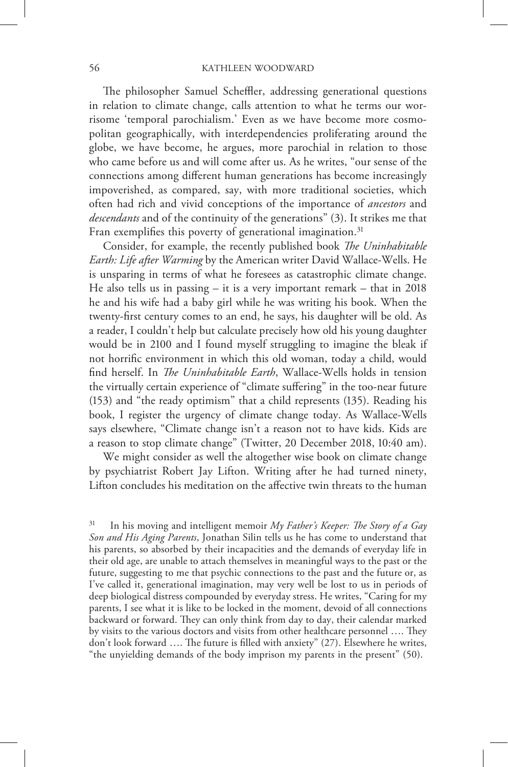The philosopher Samuel Scheffler, addressing generational questions in relation to climate change, calls attention to what he terms our worrisome 'temporal parochialism.' Even as we have become more cosmopolitan geographically, with interdependencies proliferating around the globe, we have become, he argues, more parochial in relation to those who came before us and will come after us. As he writes, "our sense of the connections among different human generations has become increasingly impoverished, as compared, say, with more traditional societies, which often had rich and vivid conceptions of the importance of *ancestors* and *descendants* and of the continuity of the generations" (3). It strikes me that Fran exemplifies this poverty of generational imagination.<sup>31</sup>

Consider, for example, the recently published book *The Uninhabitable Earth: Life after Warming* by the American writer David Wallace-Wells. He is unsparing in terms of what he foresees as catastrophic climate change. He also tells us in passing  $-$  it is a very important remark  $-$  that in 2018 he and his wife had a baby girl while he was writing his book. When the twenty-first century comes to an end, he says, his daughter will be old. As a reader, I couldn't help but calculate precisely how old his young daughter would be in 2100 and I found myself struggling to imagine the bleak if not horrific environment in which this old woman, today a child, would find herself. In *The Uninhabitable Earth*, Wallace-Wells holds in tension the virtually certain experience of "climate suffering" in the too-near future (153) and "the ready optimism" that a child represents (135). Reading his book, I register the urgency of climate change today. As Wallace-Wells says elsewhere, "Climate change isn't a reason not to have kids. Kids are a reason to stop climate change" (Twitter, 20 December 2018, 10:40 am).

We might consider as well the altogether wise book on climate change by psychiatrist Robert Jay Lifton. Writing after he had turned ninety, Lifton concludes his meditation on the affective twin threats to the human

<sup>31</sup> In his moving and intelligent memoir *My Father's Keeper: The Story of a Gay Son and His Aging Parents*, Jonathan Silin tells us he has come to understand that his parents, so absorbed by their incapacities and the demands of everyday life in their old age, are unable to attach themselves in meaningful ways to the past or the future, suggesting to me that psychic connections to the past and the future or, as I've called it, generational imagination, may very well be lost to us in periods of deep biological distress compounded by everyday stress. He writes, "Caring for my parents, I see what it is like to be locked in the moment, devoid of all connections backward or forward. They can only think from day to day, their calendar marked by visits to the various doctors and visits from other healthcare personnel …. They don't look forward …. The future is filled with anxiety" (27). Elsewhere he writes, "the unyielding demands of the body imprison my parents in the present" (50).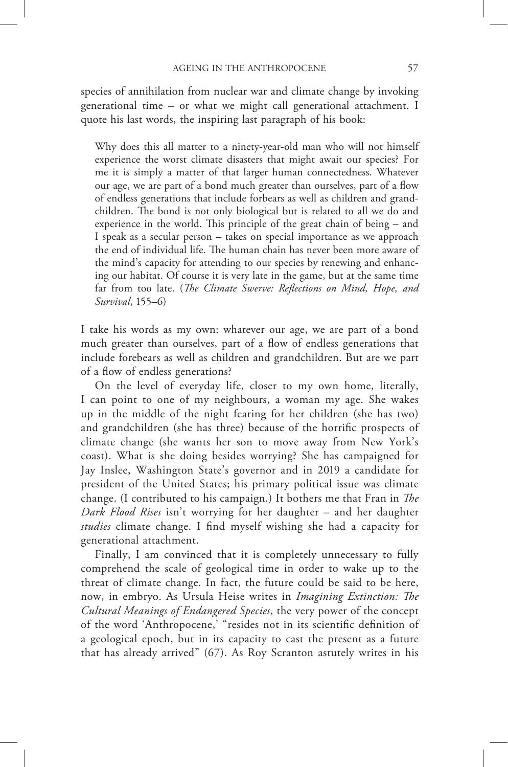species of annihilation from nuclear war and climate change by invoking generational time – or what we might call generational attachment. I quote his last words, the inspiring last paragraph of his book:

Why does this all matter to a ninety-year-old man who will not himself experience the worst climate disasters that might await our species? For me it is simply a matter of that larger human connectedness. Whatever our age, we are part of a bond much greater than ourselves, part of a flow of endless generations that include forbears as well as children and grandchildren. The bond is not only biological but is related to all we do and experience in the world. This principle of the great chain of being – and I speak as a secular person – takes on special importance as we approach the end of individual life. The human chain has never been more aware of the mind's capacity for attending to our species by renewing and enhancing our habitat. Of course it is very late in the game, but at the same time far from too late. (*The Climate Swerve: Reflections on Mind, Hope, and Survival*, 155–6)

I take his words as my own: whatever our age, we are part of a bond much greater than ourselves, part of a flow of endless generations that include forebears as well as children and grandchildren. But are we part of a flow of endless generations?

On the level of everyday life, closer to my own home, literally, I can point to one of my neighbours, a woman my age. She wakes up in the middle of the night fearing for her children (she has two) and grandchildren (she has three) because of the horrific prospects of climate change (she wants her son to move away from New York's coast). What is she doing besides worrying? She has campaigned for Jay Inslee, Washington State's governor and in 2019 a candidate for president of the United States; his primary political issue was climate change. (I contributed to his campaign.) It bothers me that Fran in *The Dark Flood Rises* isn't worrying for her daughter – and her daughter *studies* climate change. I find myself wishing she had a capacity for generational attachment.

Finally, I am convinced that it is completely unnecessary to fully comprehend the scale of geological time in order to wake up to the threat of climate change. In fact, the future could be said to be here, now, in embryo. As Ursula Heise writes in *Imagining Extinction: The Cultural Meanings of Endangered Species*, the very power of the concept of the word 'Anthropocene,' "resides not in its scientific definition of a geological epoch, but in its capacity to cast the present as a future that has already arrived" (67). As Roy Scranton astutely writes in his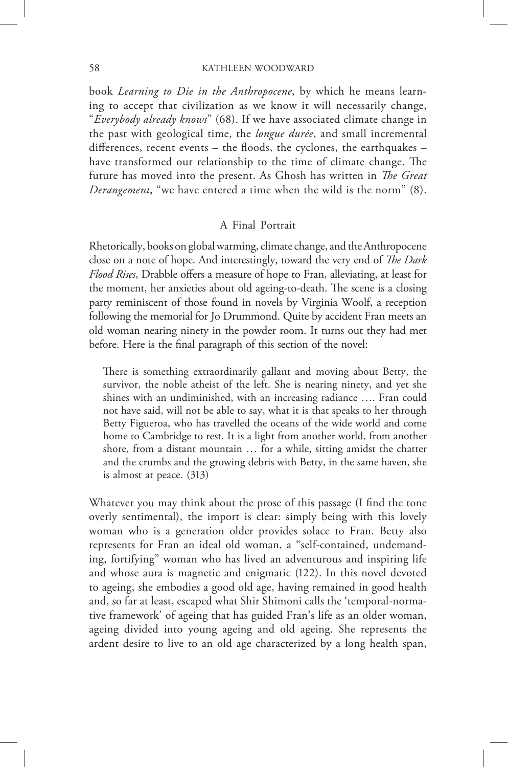book *Learning to Die in the Anthropocene*, by which he means learning to accept that civilization as we know it will necessarily change, "*Everybody already knows*" (68). If we have associated climate change in the past with geological time, the *longue durée*, and small incremental differences, recent events – the floods, the cyclones, the earthquakes – have transformed our relationship to the time of climate change. The future has moved into the present. As Ghosh has written in *The Great Derangement*, "we have entered a time when the wild is the norm" (8).

# A Final Portrait

Rhetorically, books on global warming, climate change, and the Anthropocene close on a note of hope. And interestingly, toward the very end of *The Dark Flood Rises*, Drabble offers a measure of hope to Fran, alleviating, at least for the moment, her anxieties about old ageing-to-death. The scene is a closing party reminiscent of those found in novels by Virginia Woolf, a reception following the memorial for Jo Drummond. Quite by accident Fran meets an old woman nearing ninety in the powder room. It turns out they had met before. Here is the final paragraph of this section of the novel:

There is something extraordinarily gallant and moving about Betty, the survivor, the noble atheist of the left. She is nearing ninety, and yet she shines with an undiminished, with an increasing radiance …. Fran could not have said, will not be able to say, what it is that speaks to her through Betty Figueroa, who has travelled the oceans of the wide world and come home to Cambridge to rest. It is a light from another world, from another shore, from a distant mountain … for a while, sitting amidst the chatter and the crumbs and the growing debris with Betty, in the same haven, she is almost at peace. (313)

Whatever you may think about the prose of this passage (I find the tone overly sentimental), the import is clear: simply being with this lovely woman who is a generation older provides solace to Fran. Betty also represents for Fran an ideal old woman, a "self-contained, undemanding, fortifying" woman who has lived an adventurous and inspiring life and whose aura is magnetic and enigmatic (122). In this novel devoted to ageing, she embodies a good old age, having remained in good health and, so far at least, escaped what Shir Shimoni calls the 'temporal-normative framework' of ageing that has guided Fran's life as an older woman, ageing divided into young ageing and old ageing. She represents the ardent desire to live to an old age characterized by a long health span,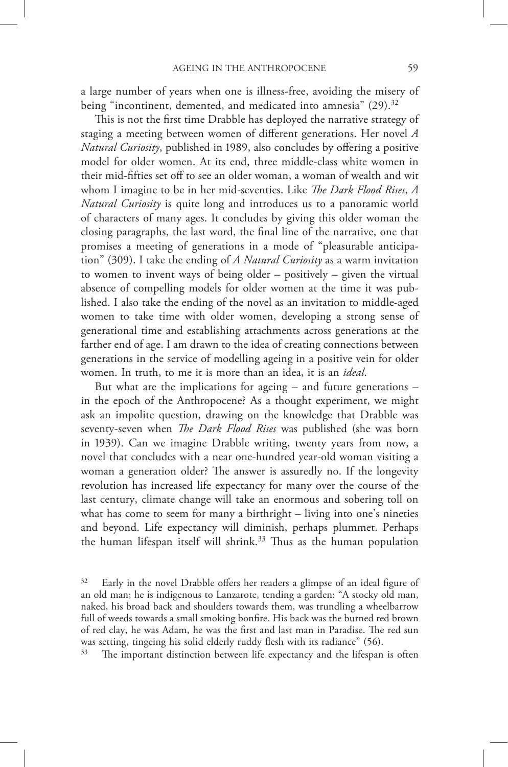a large number of years when one is illness-free, avoiding the misery of being "incontinent, demented, and medicated into amnesia" (29).<sup>32</sup>

This is not the first time Drabble has deployed the narrative strategy of staging a meeting between women of different generations. Her novel *A Natural Curiosity*, published in 1989, also concludes by offering a positive model for older women. At its end, three middle-class white women in their mid-fifties set off to see an older woman, a woman of wealth and wit whom I imagine to be in her mid-seventies. Like *The Dark Flood Rises*, *A Natural Curiosity* is quite long and introduces us to a panoramic world of characters of many ages. It concludes by giving this older woman the closing paragraphs, the last word, the final line of the narrative, one that promises a meeting of generations in a mode of "pleasurable anticipation" (309). I take the ending of *A Natural Curiosity* as a warm invitation to women to invent ways of being older – positively – given the virtual absence of compelling models for older women at the time it was published. I also take the ending of the novel as an invitation to middle-aged women to take time with older women, developing a strong sense of generational time and establishing attachments across generations at the farther end of age. I am drawn to the idea of creating connections between generations in the service of modelling ageing in a positive vein for older women. In truth, to me it is more than an idea, it is an *ideal*.

But what are the implications for ageing – and future generations – in the epoch of the Anthropocene? As a thought experiment, we might ask an impolite question, drawing on the knowledge that Drabble was seventy-seven when *The Dark Flood Rises* was published (she was born in 1939). Can we imagine Drabble writing, twenty years from now, a novel that concludes with a near one-hundred year-old woman visiting a woman a generation older? The answer is assuredly no. If the longevity revolution has increased life expectancy for many over the course of the last century, climate change will take an enormous and sobering toll on what has come to seem for many a birthright – living into one's nineties and beyond. Life expectancy will diminish, perhaps plummet. Perhaps the human lifespan itself will shrink.<sup>33</sup> Thus as the human population

 $33$  The important distinction between life expectancy and the lifespan is often

<sup>&</sup>lt;sup>32</sup> Early in the novel Drabble offers her readers a glimpse of an ideal figure of an old man; he is indigenous to Lanzarote, tending a garden: "A stocky old man, naked, his broad back and shoulders towards them, was trundling a wheelbarrow full of weeds towards a small smoking bonfire. His back was the burned red brown of red clay, he was Adam, he was the first and last man in Paradise. The red sun was setting, tingeing his solid elderly ruddy flesh with its radiance" (56).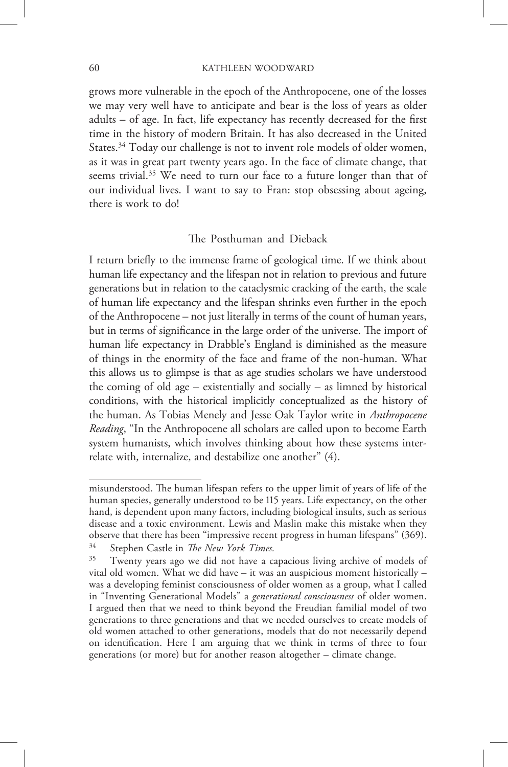grows more vulnerable in the epoch of the Anthropocene, one of the losses we may very well have to anticipate and bear is the loss of years as older adults – of age. In fact, life expectancy has recently decreased for the first time in the history of modern Britain. It has also decreased in the United States.<sup>34</sup> Today our challenge is not to invent role models of older women, as it was in great part twenty years ago. In the face of climate change, that seems trivial.<sup>35</sup> We need to turn our face to a future longer than that of our individual lives. I want to say to Fran: stop obsessing about ageing, there is work to do!

# The Posthuman and Dieback

I return briefly to the immense frame of geological time. If we think about human life expectancy and the lifespan not in relation to previous and future generations but in relation to the cataclysmic cracking of the earth, the scale of human life expectancy and the lifespan shrinks even further in the epoch of the Anthropocene – not just literally in terms of the count of human years, but in terms of significance in the large order of the universe. The import of human life expectancy in Drabble's England is diminished as the measure of things in the enormity of the face and frame of the non-human. What this allows us to glimpse is that as age studies scholars we have understood the coming of old age – existentially and socially – as limned by historical conditions, with the historical implicitly conceptualized as the history of the human. As Tobias Menely and Jesse Oak Taylor write in *Anthropocene Reading*, "In the Anthropocene all scholars are called upon to become Earth system humanists, which involves thinking about how these systems interrelate with, internalize, and destabilize one another" (4).

misunderstood. The human lifespan refers to the upper limit of years of life of the human species, generally understood to be 115 years. Life expectancy, on the other hand, is dependent upon many factors, including biological insults, such as serious disease and a toxic environment. Lewis and Maslin make this mistake when they observe that there has been "impressive recent progress in human lifespans" (369).

<sup>34</sup> Stephen Castle in *The New York Times.*

Twenty years ago we did not have a capacious living archive of models of vital old women. What we did have – it was an auspicious moment historically – was a developing feminist consciousness of older women as a group, what I called in "Inventing Generational Models" a *generational consciousness* of older women. I argued then that we need to think beyond the Freudian familial model of two generations to three generations and that we needed ourselves to create models of old women attached to other generations, models that do not necessarily depend on identification. Here I am arguing that we think in terms of three to four generations (or more) but for another reason altogether – climate change.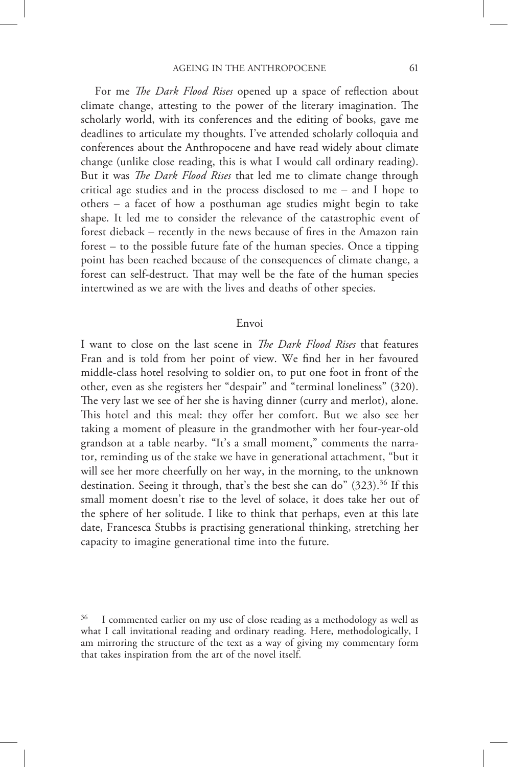For me *The Dark Flood Rises* opened up a space of reflection about climate change, attesting to the power of the literary imagination. The scholarly world, with its conferences and the editing of books, gave me deadlines to articulate my thoughts. I've attended scholarly colloquia and conferences about the Anthropocene and have read widely about climate change (unlike close reading, this is what I would call ordinary reading). But it was *The Dark Flood Rises* that led me to climate change through critical age studies and in the process disclosed to me – and I hope to others – a facet of how a posthuman age studies might begin to take shape. It led me to consider the relevance of the catastrophic event of forest dieback – recently in the news because of fires in the Amazon rain forest – to the possible future fate of the human species. Once a tipping point has been reached because of the consequences of climate change, a forest can self-destruct. That may well be the fate of the human species intertwined as we are with the lives and deaths of other species.

#### Envoi

I want to close on the last scene in *The Dark Flood Rises* that features Fran and is told from her point of view. We find her in her favoured middle-class hotel resolving to soldier on, to put one foot in front of the other, even as she registers her "despair" and "terminal loneliness" (320). The very last we see of her she is having dinner (curry and merlot), alone. This hotel and this meal: they offer her comfort. But we also see her taking a moment of pleasure in the grandmother with her four-year-old grandson at a table nearby. "It's a small moment," comments the narrator, reminding us of the stake we have in generational attachment, "but it will see her more cheerfully on her way, in the morning, to the unknown destination. Seeing it through, that's the best she can do" (323).<sup>36</sup> If this small moment doesn't rise to the level of solace, it does take her out of the sphere of her solitude. I like to think that perhaps, even at this late date, Francesca Stubbs is practising generational thinking, stretching her capacity to imagine generational time into the future.

I commented earlier on my use of close reading as a methodology as well as what I call invitational reading and ordinary reading. Here, methodologically, I am mirroring the structure of the text as a way of giving my commentary form that takes inspiration from the art of the novel itself.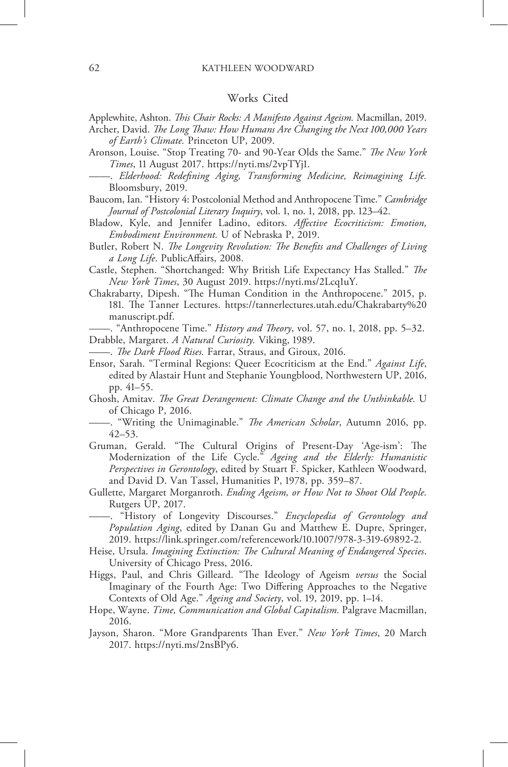# Works Cited

Applewhite, Ashton. *This Chair Rocks: A Manifesto Against Ageism.* Macmillan, 2019.

Archer, David. *The Long Thaw: How Humans Are Changing the Next 100,000 Years of Earth's Climate.* Princeton UP, 2009.

- Aronson, Louise. "Stop Treating 70- and 90-Year Olds the Same." *The New York Times*, 11 August 2017. https://nyti.ms/2vpTYj1.
- ——. *Elderhood: Redefining Aging, Transforming Medicine, Reimagining Life.*  Bloomsbury, 2019.
- Baucom, Ian. "History 4: Postcolonial Method and Anthropocene Time." *Cambridge Journal of Postcolonial Literary Inquiry*, vol. 1, no. 1, 2018, pp. 123–42.
- Bladow, Kyle, and Jennifer Ladino, editors. *Affective Ecocriticism: Emotion, Embodiment Environment.* U of Nebraska P, 2019.
- Butler, Robert N. *The Longevity Revolution: The Benefits and Challenges of Living a Long Life*. PublicAffairs, 2008.
- Castle, Stephen. "Shortchanged: Why British Life Expectancy Has Stalled." *The New York Times*, 30 August 2019. https://nyti.ms/2Lcq1uY.
- Chakrabarty, Dipesh. "The Human Condition in the Anthropocene." 2015, p. 181*.* The Tanner Lectures. https://tannerlectures.utah.edu/Chakrabarty%20 manuscript.pdf.

——. "Anthropocene Time." *History and Theory*, vol. 57, no. 1, 2018, pp. 5–32. Drabble, Margaret. *A Natural Curiosity.* Viking, 1989.

- ——. *The Dark Flood Rises.* Farrar, Straus, and Giroux, 2016.
- Ensor, Sarah. "Terminal Regions: Queer Ecocriticism at the End." *Against Life*, edited by Alastair Hunt and Stephanie Youngblood, Northwestern UP, 2016, pp. 41–55.
- Ghosh, Amitav. *The Great Derangement: Climate Change and the Unthinkable.* U of Chicago P, 2016.
- ——. "Writing the Unimaginable." *The American Scholar*, Autumn 2016, pp. 42–53.
- Gruman, Gerald. "The Cultural Origins of Present-Day 'Age-ism': The Modernization of the Life Cycle." *Ageing and the Elderly: Humanistic Perspectives in Gerontology*, edited by Stuart F. Spicker, Kathleen Woodward, and David D. Van Tassel, Humanities P, 1978, pp. 359–87.
- Gullette, Margaret Morganroth. *Ending Ageism, or How Not to Shoot Old People.*  Rutgers UP, 2017.
	- ——. "History of Longevity Discourses." *Encyclopedia of Gerontology and Population Aging*, edited by Danan Gu and Matthew E. Dupre, Springer, 2019. https://link.springer.com/referencework/10.1007/978-3-319-69892-2.
- Heise, Ursula. *Imagining Extinction: The Cultural Meaning of Endangered Species*. University of Chicago Press, 2016.
- Higgs, Paul, and Chris Gilleard. "The Ideology of Ageism *versus* the Social Imaginary of the Fourth Age: Two Differing Approaches to the Negative Contexts of Old Age." *Ageing and Society*, vol. 19, 2019, pp. 1–14.
- Hope, Wayne. *Time, Communication and Global Capitalism.* Palgrave Macmillan, 2016.
- Jayson, Sharon. "More Grandparents Than Ever." *New York Times*, 20 March 2017. https://nyti.ms/2nsBPy6.